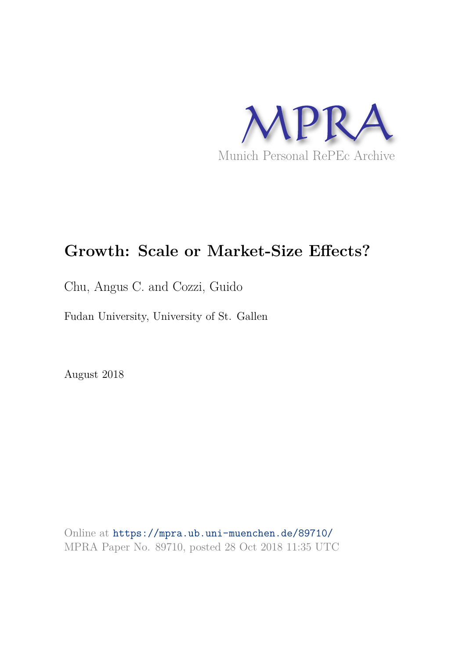

# **Growth: Scale or Market-Size Effects?**

Chu, Angus C. and Cozzi, Guido

Fudan University, University of St. Gallen

August 2018

Online at https://mpra.ub.uni-muenchen.de/89710/ MPRA Paper No. 89710, posted 28 Oct 2018 11:35 UTC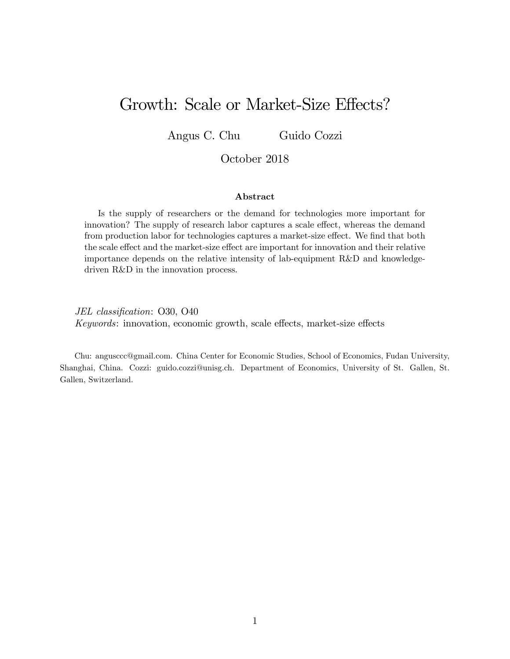# Growth: Scale or Market-Size Effects?

Angus C. Chu Guido Cozzi

#### October 2018

#### Abstract

Is the supply of researchers or the demand for technologies more important for innovation? The supply of research labor captures a scale effect, whereas the demand from production labor for technologies captures a market-size effect. We find that both the scale effect and the market-size effect are important for innovation and their relative importance depends on the relative intensity of lab-equipment R&D and knowledgedriven R&D in the innovation process.

JEL classification: O30, O40  $Keywords:$  innovation, economic growth, scale effects, market-size effects

Chu: angusccc@gmail.com. China Center for Economic Studies, School of Economics, Fudan University, Shanghai, China. Cozzi: guido.cozzi@unisg.ch. Department of Economics, University of St. Gallen, St. Gallen, Switzerland.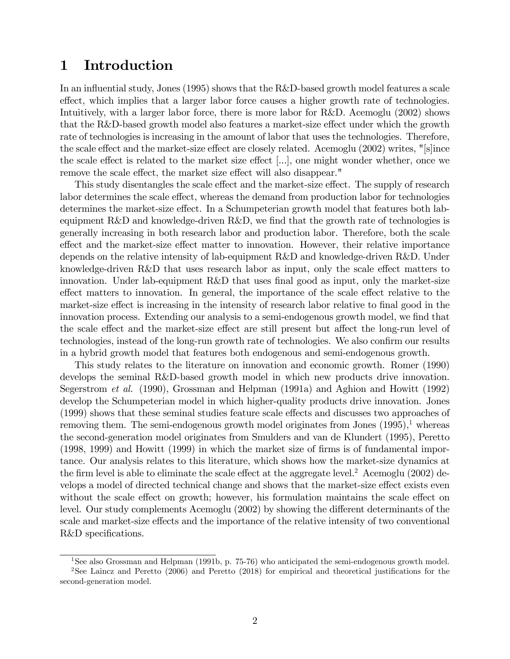# 1 Introduction

In an influential study, Jones  $(1995)$  shows that the R&D-based growth model features a scale effect, which implies that a larger labor force causes a higher growth rate of technologies. Intuitively, with a larger labor force, there is more labor for R&D. Acemoglu (2002) shows that the R&D-based growth model also features a market-size effect under which the growth rate of technologies is increasing in the amount of labor that uses the technologies. Therefore, the scale effect and the market-size effect are closely related. Acemoglu  $(2002)$  writes, "[s]ince the scale effect is related to the market size effect  $[\ldots]$ , one might wonder whether, once we remove the scale effect, the market size effect will also disappear."

This study disentangles the scale effect and the market-size effect. The supply of research labor determines the scale effect, whereas the demand from production labor for technologies determines the market-size effect. In a Schumpeterian growth model that features both labequipment  $R\&D$  and knowledge-driven  $R\&D$ , we find that the growth rate of technologies is generally increasing in both research labor and production labor. Therefore, both the scale effect and the market-size effect matter to innovation. However, their relative importance depends on the relative intensity of lab-equipment R&D and knowledge-driven R&D. Under knowledge-driven R&D that uses research labor as input, only the scale effect matters to innovation. Under lab-equipment  $R&D$  that uses final good as input, only the market-size effect matters to innovation. In general, the importance of the scale effect relative to the market-size effect is increasing in the intensity of research labor relative to final good in the innovation process. Extending our analysis to a semi-endogenous growth model, we find that the scale effect and the market-size effect are still present but affect the long-run level of technologies, instead of the long-run growth rate of technologies. We also confirm our results in a hybrid growth model that features both endogenous and semi-endogenous growth.

This study relates to the literature on innovation and economic growth. Romer (1990) develops the seminal R&D-based growth model in which new products drive innovation. Segerstrom et al. (1990), Grossman and Helpman (1991a) and Aghion and Howitt (1992) develop the Schumpeterian model in which higher-quality products drive innovation. Jones (1999) shows that these seminal studies feature scale effects and discusses two approaches of removing them. The semi-endogenous growth model originates from Jones  $(1995)^1$ , whereas the second-generation model originates from Smulders and van de Klundert (1995), Peretto (1998, 1999) and Howitt (1999) in which the market size of Örms is of fundamental importance. Our analysis relates to this literature, which shows how the market-size dynamics at the firm level is able to eliminate the scale effect at the aggregate level.<sup>2</sup> Acemoglu (2002) develops a model of directed technical change and shows that the market-size effect exists even without the scale effect on growth; however, his formulation maintains the scale effect on level. Our study complements Acemoglu (2002) by showing the different determinants of the scale and market-size effects and the importance of the relative intensity of two conventional R&D specifications.

<sup>&</sup>lt;sup>1</sup>See also Grossman and Helpman (1991b, p. 75-76) who anticipated the semi-endogenous growth model.

<sup>&</sup>lt;sup>2</sup>See Laincz and Peretto  $(2006)$  and Peretto  $(2018)$  for empirical and theoretical justifications for the second-generation model.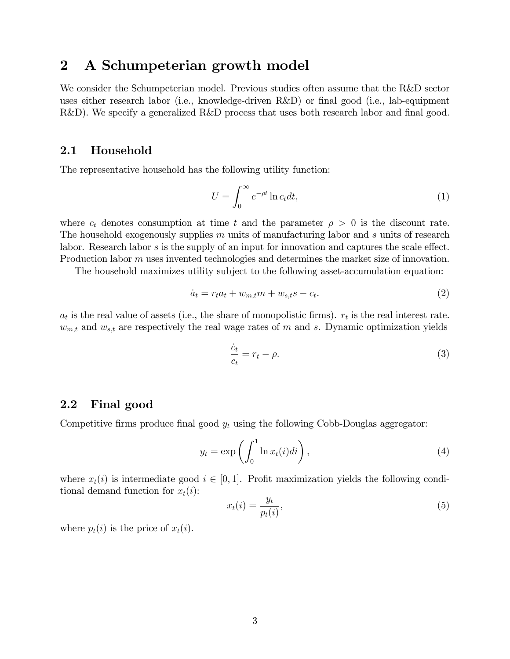# 2 A Schumpeterian growth model

We consider the Schumpeterian model. Previous studies often assume that the R&D sector uses either research labor (i.e., knowledge-driven R&D) or final good (i.e., lab-equipment  $R&D$ ). We specify a generalized  $R&D$  process that uses both research labor and final good.

## 2.1 Household

The representative household has the following utility function:

$$
U = \int_0^\infty e^{-\rho t} \ln c_t dt,
$$
\n(1)

where  $c_t$  denotes consumption at time t and the parameter  $\rho > 0$  is the discount rate. The household exogenously supplies  $m$  units of manufacturing labor and  $s$  units of research labor. Research labor  $s$  is the supply of an input for innovation and captures the scale effect. Production labor m uses invented technologies and determines the market size of innovation.

The household maximizes utility subject to the following asset-accumulation equation:

$$
\dot{a}_t = r_t a_t + w_{m,t} m + w_{s,t} s - c_t. \tag{2}
$$

 $a_t$  is the real value of assets (i.e., the share of monopolistic firms).  $r_t$  is the real interest rate.  $w_{m,t}$  and  $w_{s,t}$  are respectively the real wage rates of m and s. Dynamic optimization yields

$$
\frac{\dot{c}_t}{c_t} = r_t - \rho. \tag{3}
$$

## 2.2 Final good

Competitive firms produce final good  $y_t$  using the following Cobb-Douglas aggregator:

$$
y_t = \exp\left(\int_0^1 \ln x_t(i)di\right),\tag{4}
$$

where  $x_t(i)$  is intermediate good  $i \in [0, 1]$ . Profit maximization yields the following conditional demand function for  $x_t(i)$ :

$$
x_t(i) = \frac{y_t}{p_t(i)},\tag{5}
$$

where  $p_t(i)$  is the price of  $x_t(i)$ .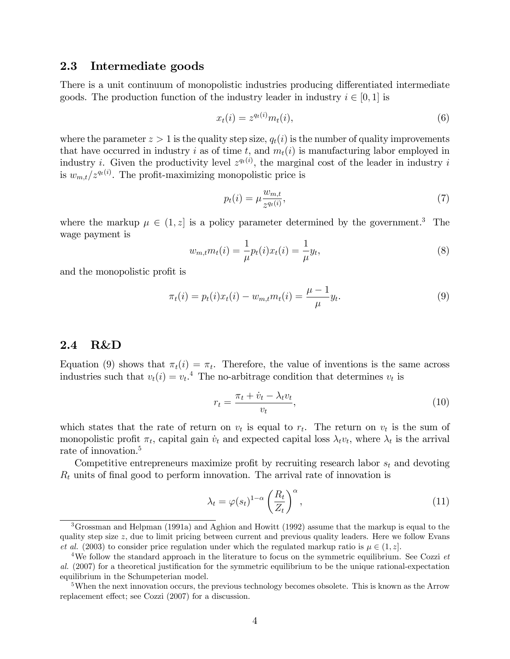### 2.3 Intermediate goods

There is a unit continuum of monopolistic industries producing differentiated intermediate goods. The production function of the industry leader in industry  $i \in [0, 1]$  is

$$
x_t(i) = z^{q_t(i)} m_t(i), \tag{6}
$$

where the parameter  $z > 1$  is the quality step size,  $q_t(i)$  is the number of quality improvements that have occurred in industry i as of time t, and  $m_t(i)$  is manufacturing labor employed in industry *i*. Given the productivity level  $z^{q_t(i)}$ , the marginal cost of the leader in industry *i* is  $w_{m,t}/z^{q_t(i)}$ . The profit-maximizing monopolistic price is

$$
p_t(i) = \mu \frac{w_{m,t}}{z^{q_t(i)}},\tag{7}
$$

where the markup  $\mu \in (1, z]$  is a policy parameter determined by the government.<sup>3</sup> The wage payment is

$$
w_{m,t}m_t(i) = \frac{1}{\mu}p_t(i)x_t(i) = \frac{1}{\mu}y_t,
$$
\n(8)

and the monopolistic profit is

$$
\pi_t(i) = p_t(i)x_t(i) - w_{m,t}m_t(i) = \frac{\mu - 1}{\mu}y_t.
$$
\n(9)

#### 2.4 R&D

Equation (9) shows that  $\pi_t(i) = \pi_t$ . Therefore, the value of inventions is the same across industries such that  $v_t(i) = v_t$ <sup>4</sup>. The no-arbitrage condition that determines  $v_t$  is

$$
r_t = \frac{\pi_t + \dot{v}_t - \lambda_t v_t}{v_t},\tag{10}
$$

which states that the rate of return on  $v_t$  is equal to  $r_t$ . The return on  $v_t$  is the sum of monopolistic profit  $\pi_t$ , capital gain  $\dot{v}_t$  and expected capital loss  $\lambda_t v_t$ , where  $\lambda_t$  is the arrival rate of innovation.<sup>5</sup>

Competitive entrepreneurs maximize profit by recruiting research labor  $s_t$  and devoting  $R_t$  units of final good to perform innovation. The arrival rate of innovation is

$$
\lambda_t = \varphi(s_t)^{1-\alpha} \left(\frac{R_t}{Z_t}\right)^{\alpha},\tag{11}
$$

<sup>3</sup>Grossman and Helpman (1991a) and Aghion and Howitt (1992) assume that the markup is equal to the quality step size  $z$ , due to limit pricing between current and previous quality leaders. Here we follow Evans et al. (2003) to consider price regulation under which the regulated markup ratio is  $\mu \in (1, z]$ .

<sup>&</sup>lt;sup>4</sup>We follow the standard approach in the literature to focus on the symmetric equilibrium. See Cozzi  $et$ al. (2007) for a theoretical justification for the symmetric equilibrium to be the unique rational-expectation equilibrium in the Schumpeterian model.

<sup>&</sup>lt;sup>5</sup>When the next innovation occurs, the previous technology becomes obsolete. This is known as the Arrow replacement effect; see Cozzi (2007) for a discussion.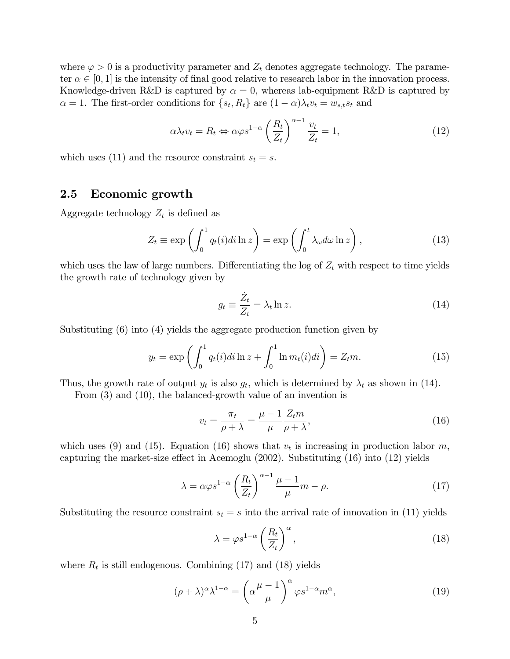where  $\varphi > 0$  is a productivity parameter and  $Z_t$  denotes aggregate technology. The parameter  $\alpha \in [0, 1]$  is the intensity of final good relative to research labor in the innovation process. Knowledge-driven R&D is captured by  $\alpha = 0$ , whereas lab-equipment R&D is captured by  $\alpha = 1$ . The first-order conditions for  $\{s_t, R_t\}$  are  $(1 - \alpha)\lambda_t v_t = w_{s,t} s_t$  and

$$
\alpha \lambda_t v_t = R_t \Leftrightarrow \alpha \varphi s^{1-\alpha} \left(\frac{R_t}{Z_t}\right)^{\alpha-1} \frac{v_t}{Z_t} = 1, \tag{12}
$$

which uses (11) and the resource constraint  $s_t = s$ .

### 2.5 Economic growth

Aggregate technology  $Z_t$  is defined as

$$
Z_t \equiv \exp\left(\int_0^1 q_t(i)di \ln z\right) = \exp\left(\int_0^t \lambda_\omega d\omega \ln z\right),\tag{13}
$$

which uses the law of large numbers. Differentiating the log of  $Z_t$  with respect to time yields the growth rate of technology given by

$$
g_t \equiv \frac{\dot{Z}_t}{Z_t} = \lambda_t \ln z. \tag{14}
$$

Substituting (6) into (4) yields the aggregate production function given by

$$
y_t = \exp\left(\int_0^1 q_t(i)di \ln z + \int_0^1 \ln m_t(i)di\right) = Z_t m.
$$
 (15)

Thus, the growth rate of output  $y_t$  is also  $g_t$ , which is determined by  $\lambda_t$  as shown in (14).

From (3) and (10), the balanced-growth value of an invention is

$$
v_t = \frac{\pi_t}{\rho + \lambda} = \frac{\mu - 1}{\mu} \frac{Z_t m}{\rho + \lambda},\tag{16}
$$

which uses (9) and (15). Equation (16) shows that  $v_t$  is increasing in production labor m, capturing the market-size effect in Acemoglu  $(2002)$ . Substituting  $(16)$  into  $(12)$  yields

$$
\lambda = \alpha \varphi s^{1-\alpha} \left(\frac{R_t}{Z_t}\right)^{\alpha-1} \frac{\mu-1}{\mu} m - \rho.
$$
 (17)

Substituting the resource constraint  $s_t = s$  into the arrival rate of innovation in (11) yields

$$
\lambda = \varphi s^{1-\alpha} \left(\frac{R_t}{Z_t}\right)^{\alpha},\tag{18}
$$

where  $R_t$  is still endogenous. Combining (17) and (18) yields

$$
(\rho + \lambda)^{\alpha} \lambda^{1-\alpha} = \left(\alpha \frac{\mu - 1}{\mu}\right)^{\alpha} \varphi s^{1-\alpha} m^{\alpha},\tag{19}
$$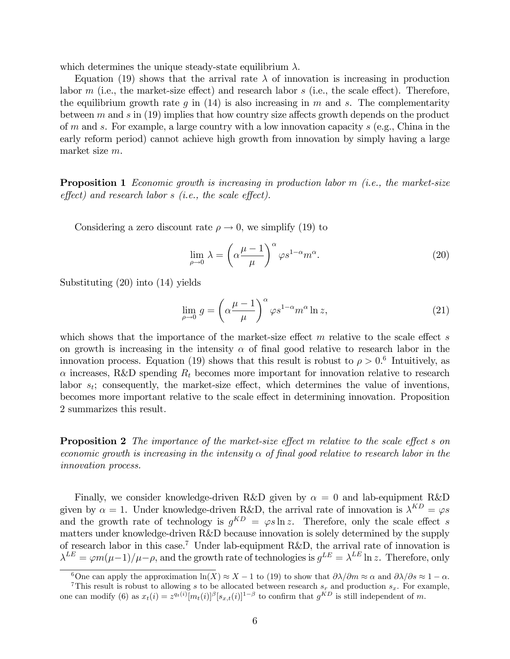which determines the unique steady-state equilibrium  $\lambda$ .

Equation (19) shows that the arrival rate  $\lambda$  of innovation is increasing in production labor m (i.e., the market-size effect) and research labor s (i.e., the scale effect). Therefore, the equilibrium growth rate g in  $(14)$  is also increasing in m and s. The complementarity between  $m$  and  $s$  in (19) implies that how country size affects growth depends on the product of m and s. For example, a large country with a low innovation capacity s (e.g., China in the early reform period) cannot achieve high growth from innovation by simply having a large market size m.

**Proposition 1** Economic growth is increasing in production labor  $m$  (i.e., the market-size  $effect)$  and research labor s (i.e., the scale effect).

Considering a zero discount rate  $\rho \to 0$ , we simplify (19) to

$$
\lim_{\rho \to 0} \lambda = \left(\alpha \frac{\mu - 1}{\mu}\right)^{\alpha} \varphi s^{1 - \alpha} m^{\alpha}.
$$
\n(20)

Substituting (20) into (14) yields

$$
\lim_{\rho \to 0} g = \left( \alpha \frac{\mu - 1}{\mu} \right)^{\alpha} \varphi s^{1 - \alpha} m^{\alpha} \ln z,
$$
\n(21)

which shows that the importance of the market-size effect  $m$  relative to the scale effect  $s$ on growth is increasing in the intensity  $\alpha$  of final good relative to research labor in the innovation process. Equation (19) shows that this result is robust to  $\rho > 0.6$  Intuitively, as  $\alpha$  increases, R&D spending  $R_t$  becomes more important for innovation relative to research labor  $s_t$ ; consequently, the market-size effect, which determines the value of inventions, becomes more important relative to the scale effect in determining innovation. Proposition 2 summarizes this result.

**Proposition 2** The importance of the market-size effect m relative to the scale effect s on economic growth is increasing in the intensity  $\alpha$  of final good relative to research labor in the innovation process.

Finally, we consider knowledge-driven R&D given by  $\alpha = 0$  and lab-equipment R&D given by  $\alpha = 1$ . Under knowledge-driven R&D, the arrival rate of innovation is  $\lambda^{KD} = \varphi s$ and the growth rate of technology is  $g^{KD} = \varphi s \ln z$ . Therefore, only the scale effect s matters under knowledge-driven R&D because innovation is solely determined by the supply of research labor in this case.<sup>7</sup> Under lab-equipment R&D, the arrival rate of innovation is  $\lambda^{LE} = \varphi m(\mu-1)/\mu - \rho$ , and the growth rate of technologies is  $g^{LE} = \lambda^{LE} \ln z$ . Therefore, only

<sup>&</sup>lt;sup>6</sup>One can apply the approximation  $ln(X) \approx X - 1$  to (19) to show that  $\partial \lambda / \partial m \approx \alpha$  and  $\partial \lambda / \partial s \approx 1 - \alpha$ .

<sup>&</sup>lt;sup>7</sup>This result is robust to allowing s to be allocated between research  $s_r$  and production  $s_x$ . For example, one can modify (6) as  $x_t(i) = z^{q_t(i)} [m_t(i)]^{\beta} [s_{x,t}(i)]^{1-\beta}$  to confirm that  $g^{KD}$  is still independent of m.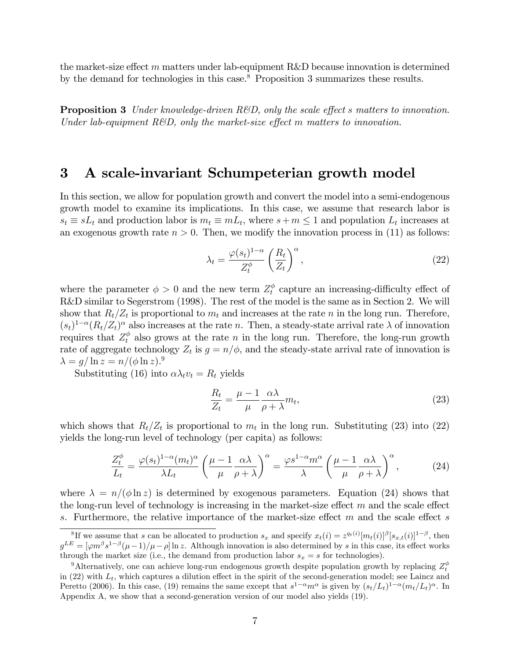the market-size effect m matters under lab-equipment R&D because innovation is determined by the demand for technologies in this case.<sup>8</sup> Proposition 3 summarizes these results.

**Proposition 3** Under knowledge-driven R&D, only the scale effect s matters to innovation. Under lab-equipment  $R\&D$ , only the market-size effect m matters to innovation.

## 3 A scale-invariant Schumpeterian growth model

In this section, we allow for population growth and convert the model into a semi-endogenous growth model to examine its implications. In this case, we assume that research labor is  $s_t \equiv sL_t$  and production labor is  $m_t \equiv mL_t$ , where  $s+m \leq 1$  and population  $L_t$  increases at an exogenous growth rate  $n > 0$ . Then, we modify the innovation process in (11) as follows:

$$
\lambda_t = \frac{\varphi(s_t)^{1-\alpha}}{Z_t^{\phi}} \left(\frac{R_t}{Z_t}\right)^{\alpha},\tag{22}
$$

where the parameter  $\phi > 0$  and the new term  $Z_t^{\phi}$  $t<sub>t</sub><sup>\varphi</sup>$  capture an increasing-difficulty effect of R&D similar to Segerstrom (1998). The rest of the model is the same as in Section 2. We will show that  $R_t/Z_t$  is proportional to  $m_t$  and increases at the rate n in the long run. Therefore,  $(s_t)^{1-\alpha} (R_t/Z_t)^{\alpha}$  also increases at the rate n. Then, a steady-state arrival rate  $\lambda$  of innovation requires that  $Z_t^{\phi}$  also grows at the rate n in the long run. Therefore, the long-run growth rate of aggregate technology  $Z_t$  is  $g = n/\phi$ , and the steady-state arrival rate of innovation is  $\lambda = g/\ln z = n/(\phi \ln z).$ <sup>9</sup>

Substituting (16) into  $\alpha \lambda_t v_t = R_t$  yields

$$
\frac{R_t}{Z_t} = \frac{\mu - 1}{\mu} \frac{\alpha \lambda}{\rho + \lambda} m_t,\tag{23}
$$

which shows that  $R_t/Z_t$  is proportional to  $m_t$  in the long run. Substituting (23) into (22) yields the long-run level of technology (per capita) as follows:

$$
\frac{Z_t^{\phi}}{L_t} = \frac{\varphi(s_t)^{1-\alpha}(m_t)^{\alpha}}{\lambda L_t} \left(\frac{\mu-1}{\mu} \frac{\alpha \lambda}{\rho + \lambda}\right)^{\alpha} = \frac{\varphi s^{1-\alpha} m^{\alpha}}{\lambda} \left(\frac{\mu-1}{\mu} \frac{\alpha \lambda}{\rho + \lambda}\right)^{\alpha},\tag{24}
$$

where  $\lambda = n/(\phi \ln z)$  is determined by exogenous parameters. Equation (24) shows that the long-run level of technology is increasing in the market-size effect  $m$  and the scale effect s. Furthermore, the relative importance of the market-size effect  $m$  and the scale effect s

<sup>&</sup>lt;sup>8</sup>If we assume that s can be allocated to production  $s_x$  and specify  $x_t(i) = z^{q_t(i)} [m_t(i)]^{\beta} [s_{x,t}(i)]^{1-\beta}$ , then  $g^{LE} = [\varphi m^{\beta} s^{1-\beta} (\mu - 1)/\mu - \rho] \ln z$ . Although innovation is also determined by s in this case, its effect works through the market size (i.e., the demand from production labor  $s_x = s$  for technologies).

<sup>&</sup>lt;sup>9</sup>Alternatively, one can achieve long-run endogenous growth despite population growth by replacing  $Z_t^{\phi}$ in (22) with  $L_t$ , which captures a dilution effect in the spirit of the second-generation model; see Laincz and Peretto (2006). In this case, (19) remains the same except that  $s^{1-\alpha}m^{\alpha}$  is given by  $(s_t/L_t)^{1-\alpha}(m_t/L_t)^{\alpha}$ . In Appendix A, we show that a second-generation version of our model also yields (19).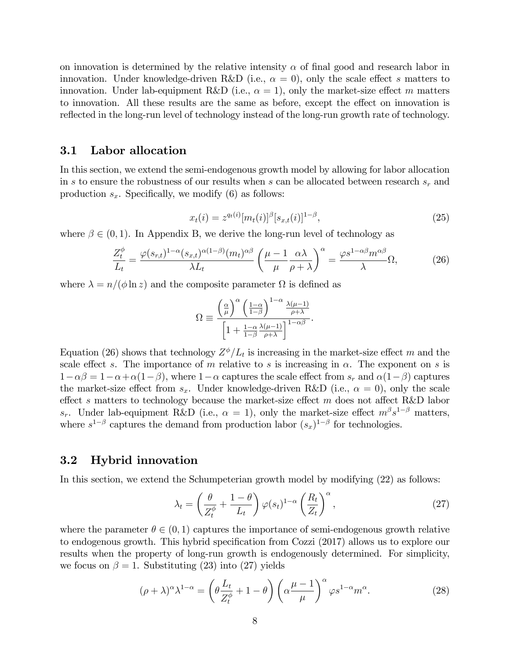on innovation is determined by the relative intensity  $\alpha$  of final good and research labor in innovation. Under knowledge-driven R&D (i.e.,  $\alpha = 0$ ), only the scale effect s matters to innovation. Under lab-equipment R&D (i.e.,  $\alpha = 1$ ), only the market-size effect m matters to innovation. All these results are the same as before, except the effect on innovation is reflected in the long-run level of technology instead of the long-run growth rate of technology.

### 3.1 Labor allocation

In this section, we extend the semi-endogenous growth model by allowing for labor allocation in s to ensure the robustness of our results when s can be allocated between research  $s_r$  and production  $s_x$ . Specifically, we modify (6) as follows:

$$
x_t(i) = z^{q_t(i)} [m_t(i)]^{\beta} [s_{x,t}(i)]^{1-\beta}, \qquad (25)
$$

where  $\beta \in (0, 1)$ . In Appendix B, we derive the long-run level of technology as

$$
\frac{Z_t^{\phi}}{L_t} = \frac{\varphi(s_{r,t})^{1-\alpha}(s_{x,t})^{\alpha(1-\beta)}(m_t)^{\alpha\beta}}{\lambda L_t} \left(\frac{\mu-1}{\mu} \frac{\alpha \lambda}{\rho + \lambda}\right)^{\alpha} = \frac{\varphi s^{1-\alpha\beta} m^{\alpha\beta}}{\lambda} \Omega, \tag{26}
$$

where  $\lambda = n/(\phi \ln z)$  and the composite parameter  $\Omega$  is defined as

$$
\Omega \equiv \frac{\left(\frac{\alpha}{\mu}\right)^{\alpha} \left(\frac{1-\alpha}{1-\beta}\right)^{1-\alpha} \frac{\lambda(\mu-1)}{\rho+\lambda}}{\left[1 + \frac{1-\alpha}{1-\beta} \frac{\lambda(\mu-1)}{\rho+\lambda}\right]^{1-\alpha\beta}}.
$$

Equation (26) shows that technology  $Z^{\phi}/L_t$  is increasing in the market-size effect m and the scale effect s. The importance of m relative to s is increasing in  $\alpha$ . The exponent on s is  $1-\alpha\beta = 1-\alpha+\alpha(1-\beta)$ , where  $1-\alpha$  captures the scale effect from  $s_r$  and  $\alpha(1-\beta)$  captures the market-size effect from  $s_x$ . Under knowledge-driven R&D (i.e.,  $\alpha = 0$ ), only the scale effect s matters to technology because the market-size effect  $m$  does not affect R&D labor  $s_r$ . Under lab-equipment R&D (i.e.,  $\alpha = 1$ ), only the market-size effect  $m^{\beta}s^{1-\beta}$  matters, where  $s^{1-\beta}$  captures the demand from production labor  $(s_x)^{1-\beta}$  for technologies.

#### 3.2 Hybrid innovation

In this section, we extend the Schumpeterian growth model by modifying (22) as follows:

$$
\lambda_t = \left(\frac{\theta}{Z_t^{\phi}} + \frac{1-\theta}{L_t}\right) \varphi(s_t)^{1-\alpha} \left(\frac{R_t}{Z_t}\right)^{\alpha},\tag{27}
$$

where the parameter  $\theta \in (0, 1)$  captures the importance of semi-endogenous growth relative to endogenous growth. This hybrid specification from Cozzi (2017) allows us to explore our results when the property of long-run growth is endogenously determined. For simplicity, we focus on  $\beta = 1$ . Substituting (23) into (27) yields

$$
(\rho + \lambda)^{\alpha} \lambda^{1-\alpha} = \left(\theta \frac{L_t}{Z_t^{\phi}} + 1 - \theta\right) \left(\alpha \frac{\mu - 1}{\mu}\right)^{\alpha} \varphi s^{1-\alpha} m^{\alpha}.
$$
 (28)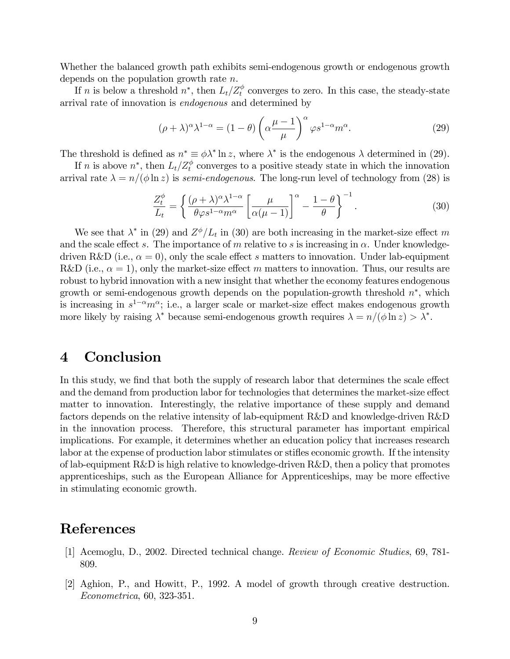Whether the balanced growth path exhibits semi-endogenous growth or endogenous growth depends on the population growth rate n.

If n is below a threshold  $n^*$ , then  $L_t/Z_t^{\phi}$  converges to zero. In this case, the steady-state arrival rate of innovation is endogenous and determined by

$$
(\rho + \lambda)^{\alpha} \lambda^{1-\alpha} = (1 - \theta) \left( \alpha \frac{\mu - 1}{\mu} \right)^{\alpha} \varphi s^{1-\alpha} m^{\alpha}.
$$
 (29)

The threshold is defined as  $n^* \equiv \phi \lambda^* \ln z$ , where  $\lambda^*$  is the endogenous  $\lambda$  determined in (29).

If n is above  $n^*$ , then  $L_t/Z_t^{\phi}$  converges to a positive steady state in which the innovation arrival rate  $\lambda = n/(\phi \ln z)$  is semi-endogenous. The long-run level of technology from (28) is

$$
\frac{Z_t^{\phi}}{L_t} = \left\{ \frac{(\rho + \lambda)^{\alpha} \lambda^{1-\alpha}}{\theta \varphi s^{1-\alpha} m^{\alpha}} \left[ \frac{\mu}{\alpha(\mu - 1)} \right]^{\alpha} - \frac{1-\theta}{\theta} \right\}^{-1}.
$$
 (30)

We see that  $\lambda^*$  in (29) and  $Z^{\phi}/L_t$  in (30) are both increasing in the market-size effect m and the scale effect s. The importance of m relative to s is increasing in  $\alpha$ . Under knowledgedriven R&D (i.e.,  $\alpha = 0$ ), only the scale effect s matters to innovation. Under lab-equipment R&D (i.e.,  $\alpha = 1$ ), only the market-size effect m matters to innovation. Thus, our results are robust to hybrid innovation with a new insight that whether the economy features endogenous growth or semi-endogenous growth depends on the population-growth threshold  $n^*$ , which is increasing in  $s^{1-\alpha}m^{\alpha}$ ; i.e., a larger scale or market-size effect makes endogenous growth more likely by raising  $\lambda^*$  because semi-endogenous growth requires  $\lambda = n/(\phi \ln z) > \lambda^*$ .

# 4 Conclusion

In this study, we find that both the supply of research labor that determines the scale effect and the demand from production labor for technologies that determines the market-size effect matter to innovation. Interestingly, the relative importance of these supply and demand factors depends on the relative intensity of lab-equipment R&D and knowledge-driven R&D in the innovation process. Therefore, this structural parameter has important empirical implications. For example, it determines whether an education policy that increases research labor at the expense of production labor stimulates or stifles economic growth. If the intensity of lab-equipment R&D is high relative to knowledge-driven R&D, then a policy that promotes apprenticeships, such as the European Alliance for Apprenticeships, may be more effective in stimulating economic growth.

## References

- [1] Acemoglu, D., 2002. Directed technical change. Review of Economic Studies, 69, 781- 809.
- [2] Aghion, P., and Howitt, P., 1992. A model of growth through creative destruction. Econometrica, 60, 323-351.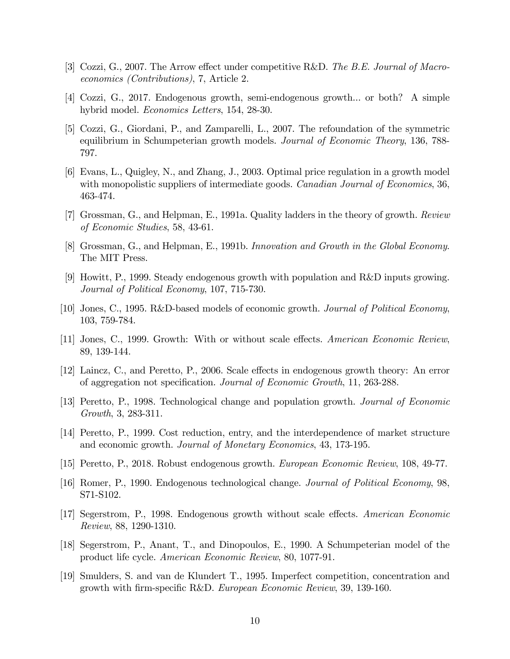- [3] Cozzi, G., 2007. The Arrow effect under competitive R&D. The B.E. Journal of Macroeconomics (Contributions), 7, Article 2.
- [4] Cozzi, G., 2017. Endogenous growth, semi-endogenous growth... or both? A simple hybrid model. Economics Letters, 154, 28-30.
- [5] Cozzi, G., Giordani, P., and Zamparelli, L., 2007. The refoundation of the symmetric equilibrium in Schumpeterian growth models. *Journal of Economic Theory*, 136, 788-797.
- [6] Evans, L., Quigley, N., and Zhang, J., 2003. Optimal price regulation in a growth model with monopolistic suppliers of intermediate goods. *Canadian Journal of Economics*, 36, 463-474.
- [7] Grossman, G., and Helpman, E., 1991a. Quality ladders in the theory of growth. Review of Economic Studies, 58, 43-61.
- [8] Grossman, G., and Helpman, E., 1991b. Innovation and Growth in the Global Economy. The MIT Press.
- [9] Howitt, P., 1999. Steady endogenous growth with population and R&D inputs growing. Journal of Political Economy, 107, 715-730.
- [10] Jones, C., 1995. R&D-based models of economic growth. Journal of Political Economy, 103, 759-784.
- [11] Jones, C., 1999. Growth: With or without scale effects. American Economic Review, 89, 139-144.
- [12] Laincz, C., and Peretto, P., 2006. Scale effects in endogenous growth theory: An error of aggregation not specification. Journal of Economic Growth, 11, 263-288.
- [13] Peretto, P., 1998. Technological change and population growth. Journal of Economic Growth, 3, 283-311.
- [14] Peretto, P., 1999. Cost reduction, entry, and the interdependence of market structure and economic growth. Journal of Monetary Economics, 43, 173-195.
- [15] Peretto, P., 2018. Robust endogenous growth. European Economic Review, 108, 49-77.
- [16] Romer, P., 1990. Endogenous technological change. Journal of Political Economy, 98, S71-S102.
- [17] Segerstrom, P., 1998. Endogenous growth without scale effects. American Economic Review, 88, 1290-1310.
- [18] Segerstrom, P., Anant, T., and Dinopoulos, E., 1990. A Schumpeterian model of the product life cycle. American Economic Review, 80, 1077-91.
- [19] Smulders, S. and van de Klundert T., 1995. Imperfect competition, concentration and growth with firm-specific R&D. European Economic Review, 39, 139-160.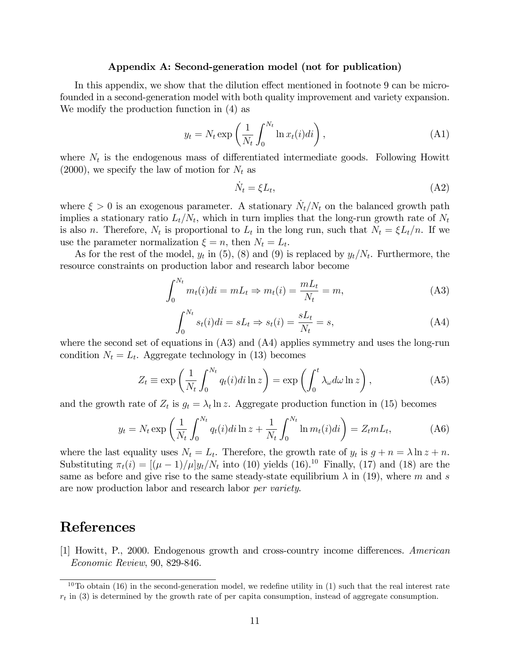#### Appendix A: Second-generation model (not for publication)

In this appendix, we show that the dilution effect mentioned in footnote 9 can be microfounded in a second-generation model with both quality improvement and variety expansion. We modify the production function in (4) as

$$
y_t = N_t \exp\left(\frac{1}{N_t} \int_0^{N_t} \ln x_t(i) di\right),\tag{A1}
$$

where  $N_t$  is the endogenous mass of differentiated intermediate goods. Following Howitt  $(2000)$ , we specify the law of motion for  $N_t$  as

$$
\dot{N}_t = \xi L_t,\tag{A2}
$$

where  $\xi > 0$  is an exogenous parameter. A stationary  $\dot{N}_t/N_t$  on the balanced growth path implies a stationary ratio  $L_t/N_t$ , which in turn implies that the long-run growth rate of  $N_t$ is also *n*. Therefore,  $N_t$  is proportional to  $L_t$  in the long run, such that  $N_t = \xi L_t/n$ . If we use the parameter normalization  $\xi = n$ , then  $N_t = L_t$ .

As for the rest of the model,  $y_t$  in (5), (8) and (9) is replaced by  $y_t/N_t$ . Furthermore, the resource constraints on production labor and research labor become

$$
\int_0^{N_t} m_t(i)di = mL_t \Rightarrow m_t(i) = \frac{mL_t}{N_t} = m,
$$
\n(A3)

$$
\int_0^{N_t} s_t(i)di = sL_t \Rightarrow s_t(i) = \frac{sL_t}{N_t} = s,
$$
\n(A4)

where the second set of equations in  $(A3)$  and  $(A4)$  applies symmetry and uses the long-run condition  $N_t = L_t$ . Aggregate technology in (13) becomes

$$
Z_t \equiv \exp\left(\frac{1}{N_t} \int_0^{N_t} q_t(i) di \ln z\right) = \exp\left(\int_0^t \lambda_\omega d\omega \ln z\right),\tag{A5}
$$

and the growth rate of  $Z_t$  is  $g_t = \lambda_t \ln z$ . Aggregate production function in (15) becomes

$$
y_t = N_t \exp\left(\frac{1}{N_t} \int_0^{N_t} q_t(i) di \ln z + \frac{1}{N_t} \int_0^{N_t} \ln m_t(i) di\right) = Z_t m L_t,
$$
 (A6)

where the last equality uses  $N_t = L_t$ . Therefore, the growth rate of  $y_t$  is  $g + n = \lambda \ln z + n$ . Substituting  $\pi_t(i) = \left[ (\mu - 1)/\mu \right] y_t/N_t$  into (10) yields (16).<sup>10</sup> Finally, (17) and (18) are the same as before and give rise to the same steady-state equilibrium  $\lambda$  in (19), where m and s are now production labor and research labor per variety.

## References

[1] Howitt, P., 2000. Endogenous growth and cross-country income differences. American Economic Review, 90, 829-846.

 $10$ To obtain (16) in the second-generation model, we redefine utility in (1) such that the real interest rate  $r_t$  in (3) is determined by the growth rate of per capita consumption, instead of aggregate consumption.